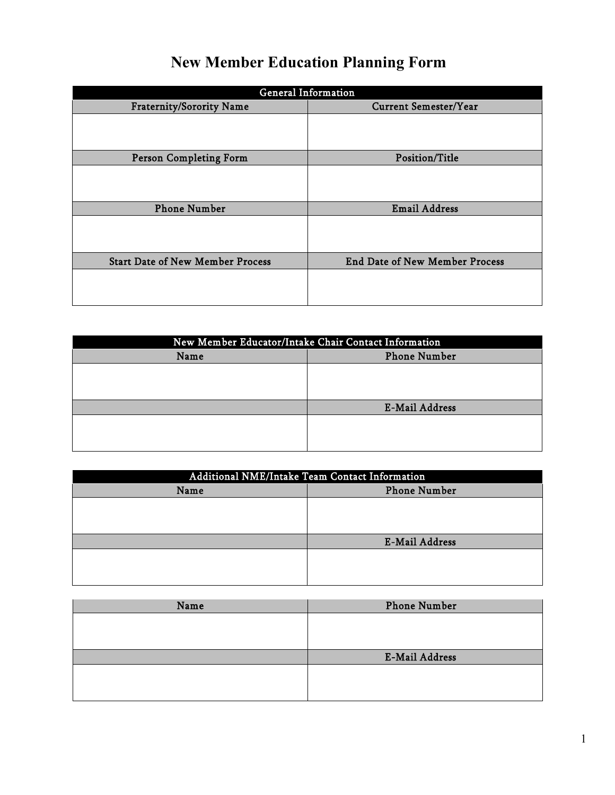## **New Member Education Planning Form**

| <b>General Information</b>              |                                       |  |  |
|-----------------------------------------|---------------------------------------|--|--|
| <b>Fraternity/Sorority Name</b>         | <b>Current Semester/Year</b>          |  |  |
|                                         |                                       |  |  |
| <b>Person Completing Form</b>           | Position/Title                        |  |  |
|                                         |                                       |  |  |
| <b>Phone Number</b>                     | <b>Email Address</b>                  |  |  |
|                                         |                                       |  |  |
| <b>Start Date of New Member Process</b> | <b>End Date of New Member Process</b> |  |  |
|                                         |                                       |  |  |

| New Member Educator/Intake Chair Contact Information |                       |  |
|------------------------------------------------------|-----------------------|--|
| Name                                                 | <b>Phone Number</b>   |  |
|                                                      |                       |  |
|                                                      |                       |  |
|                                                      |                       |  |
|                                                      | <b>E-Mail Address</b> |  |
|                                                      |                       |  |
|                                                      |                       |  |
|                                                      |                       |  |

| Additional NME/Intake Team Contact Information |                       |  |
|------------------------------------------------|-----------------------|--|
| Name                                           | <b>Phone Number</b>   |  |
|                                                |                       |  |
|                                                |                       |  |
|                                                |                       |  |
|                                                | <b>E-Mail Address</b> |  |
|                                                |                       |  |
|                                                |                       |  |
|                                                |                       |  |

| Name | <b>Phone Number</b>   |
|------|-----------------------|
|      |                       |
|      |                       |
|      |                       |
|      | <b>E-Mail Address</b> |
|      |                       |
|      |                       |
|      |                       |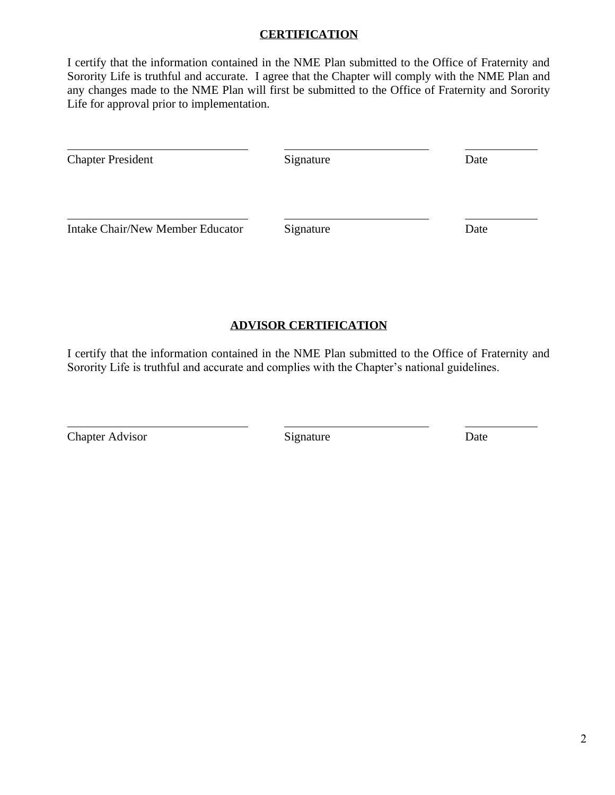#### **CERTIFICATION**

 I certify that the information contained in the NME Plan submitted to the Office of Fraternity and Sorority Life is truthful and accurate. I agree that the Chapter will comply with the NME Plan and any changes made to the NME Plan will first be submitted to the Office of Fraternity and Sorority Life for approval prior to implementation.

| <b>Chapter President</b>         | Signature | Date |
|----------------------------------|-----------|------|
| Intake Chair/New Member Educator | Signature | Date |

#### **ADVISOR CERTIFICATION**

 I certify that the information contained in the NME Plan submitted to the Office of Fraternity and Sorority Life is truthful and accurate and complies with the Chapter's national guidelines.

Chapter Advisor Signature Date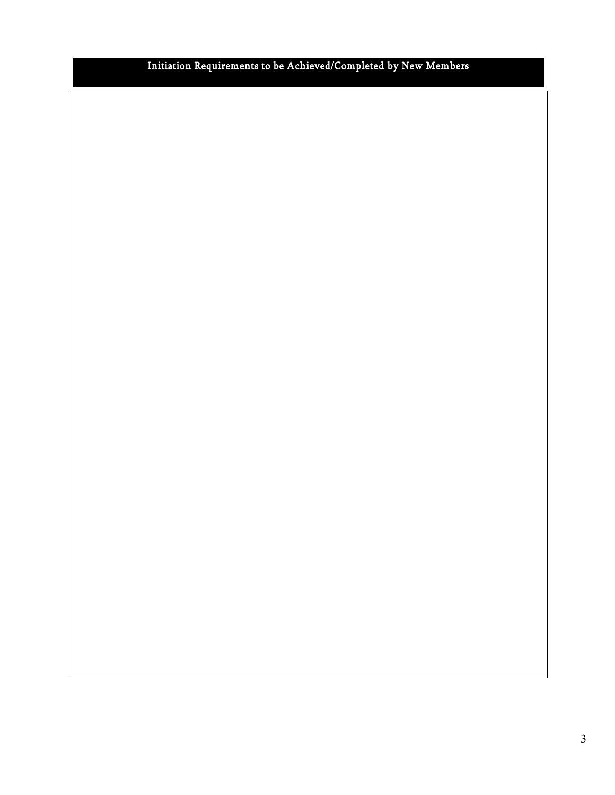#### Initiation Requirements to be Achieved/Completed by New Members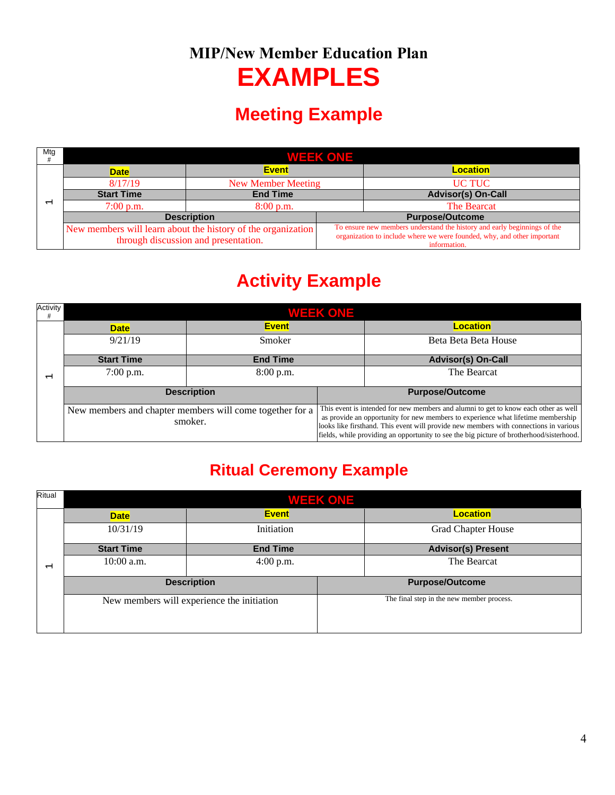# **MIP/New Member Education Plan EXAMPLES**

### **Meeting Example**

| Mtg | WEEK ONE T                                                                                           |                           |  |                                                                                                                                                                     |  |
|-----|------------------------------------------------------------------------------------------------------|---------------------------|--|---------------------------------------------------------------------------------------------------------------------------------------------------------------------|--|
|     | <b>Date</b>                                                                                          | <b>Event</b>              |  | <b>Location</b>                                                                                                                                                     |  |
|     | 8/17/19                                                                                              | <b>New Member Meeting</b> |  | UC TUC                                                                                                                                                              |  |
|     | <b>Start Time</b>                                                                                    | <b>End Time</b>           |  | <b>Advisor(s) On-Call</b>                                                                                                                                           |  |
|     | $7:00$ p.m.                                                                                          | 8:00 p.m.                 |  | The Bearcat                                                                                                                                                         |  |
|     |                                                                                                      | <b>Description</b>        |  | <b>Purpose/Outcome</b>                                                                                                                                              |  |
|     | New members will learn about the history of the organization<br>through discussion and presentation. |                           |  | To ensure new members understand the history and early beginnings of the<br>organization to include where we were founded, why, and other important<br>information. |  |

# **Activity Example**

| Activity |                                                                     |                    | <b>WEEK ONE</b>                                                                                                                                                                                                                                                                                                                                              |                           |
|----------|---------------------------------------------------------------------|--------------------|--------------------------------------------------------------------------------------------------------------------------------------------------------------------------------------------------------------------------------------------------------------------------------------------------------------------------------------------------------------|---------------------------|
|          | <b>Date</b>                                                         | <b>Event</b>       |                                                                                                                                                                                                                                                                                                                                                              | <b>Location</b>           |
|          | 9/21/19                                                             | Smoker             |                                                                                                                                                                                                                                                                                                                                                              | Beta Beta Beta House      |
|          | <b>Start Time</b>                                                   | <b>End Time</b>    |                                                                                                                                                                                                                                                                                                                                                              | <b>Advisor(s) On-Call</b> |
|          | $7:00$ p.m.                                                         | 8:00 p.m.          |                                                                                                                                                                                                                                                                                                                                                              | The Bearcat               |
|          |                                                                     | <b>Description</b> |                                                                                                                                                                                                                                                                                                                                                              | <b>Purpose/Outcome</b>    |
|          | New members and chapter members will come together for a<br>smoker. |                    | This event is intended for new members and alumni to get to know each other as well<br>as provide an opportunity for new members to experience what lifetime membership<br>looks like firsthand. This event will provide new members with connections in various<br>fields, while providing an opportunity to see the big picture of brotherhood/sisterhood. |                           |

### **Ritual Ceremony Example**

| Ritual         | <b>WEEK ONE</b>   |                                            |  |                                           |
|----------------|-------------------|--------------------------------------------|--|-------------------------------------------|
|                | <b>Date</b>       | <b>Event</b>                               |  | <b>Location</b>                           |
|                | 10/31/19          | Initiation                                 |  | <b>Grad Chapter House</b>                 |
|                | <b>Start Time</b> | <b>End Time</b>                            |  | <b>Advisor(s) Present</b>                 |
| $\overline{ }$ | $10:00$ a.m.      | $4:00$ p.m.                                |  | The Bearcat                               |
|                |                   | <b>Description</b>                         |  | <b>Purpose/Outcome</b>                    |
|                |                   | New members will experience the initiation |  | The final step in the new member process. |
|                |                   |                                            |  |                                           |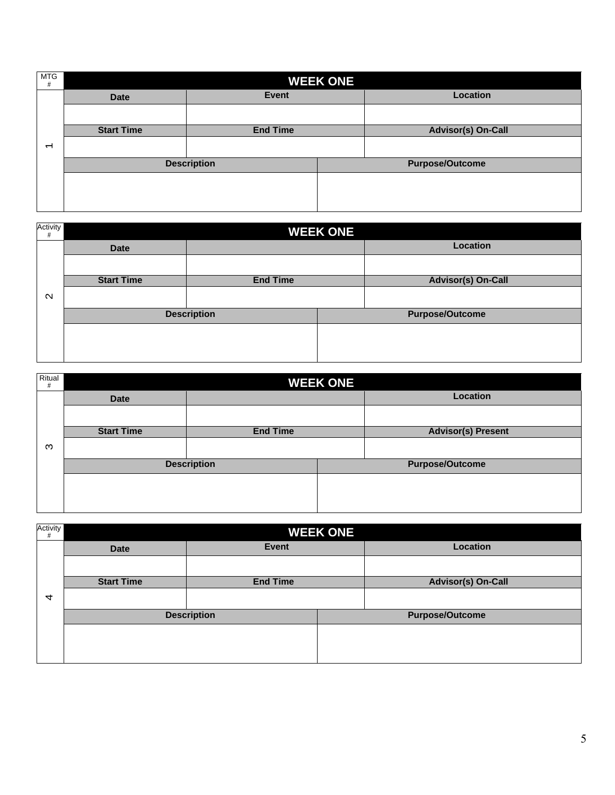| <b>MTG</b><br>#          | <b>WEEK ONE</b>   |                    |  |                           |
|--------------------------|-------------------|--------------------|--|---------------------------|
|                          | <b>Date</b>       | <b>Event</b>       |  | Location                  |
|                          |                   |                    |  |                           |
|                          | <b>Start Time</b> | <b>End Time</b>    |  | <b>Advisor(s) On-Call</b> |
| $\overline{\phantom{0}}$ |                   |                    |  |                           |
|                          |                   | <b>Description</b> |  | <b>Purpose/Outcome</b>    |
|                          |                   |                    |  |                           |
|                          |                   |                    |  |                           |
|                          |                   |                    |  |                           |

| Activity<br>#     |                   |                    | <b>WEEK ONE</b> |                           |
|-------------------|-------------------|--------------------|-----------------|---------------------------|
|                   | <b>Date</b>       |                    |                 | Location                  |
|                   |                   |                    |                 |                           |
|                   | <b>Start Time</b> | <b>End Time</b>    |                 | <b>Advisor(s) On-Call</b> |
| $\mathbf{\Omega}$ |                   |                    |                 |                           |
|                   |                   | <b>Description</b> |                 | <b>Purpose/Outcome</b>    |
|                   |                   |                    |                 |                           |
|                   |                   |                    |                 |                           |
|                   |                   |                    |                 |                           |

| Ritual<br>$\#$ |                   |                    | <b>WEEK ONE</b> |                           |
|----------------|-------------------|--------------------|-----------------|---------------------------|
|                | <b>Date</b>       |                    |                 | Location                  |
|                |                   |                    |                 |                           |
|                | <b>Start Time</b> | <b>End Time</b>    |                 | <b>Advisor(s) Present</b> |
| ო              |                   |                    |                 |                           |
|                |                   | <b>Description</b> |                 | <b>Purpose/Outcome</b>    |
|                |                   |                    |                 |                           |
|                |                   |                    |                 |                           |
|                |                   |                    |                 |                           |

| Activity<br>#  | <b>WEEK ONE</b>   |                    |  |                           |
|----------------|-------------------|--------------------|--|---------------------------|
|                | <b>Date</b>       | <b>Event</b>       |  | Location                  |
|                |                   |                    |  |                           |
|                | <b>Start Time</b> | <b>End Time</b>    |  | <b>Advisor(s) On-Call</b> |
| $\overline{4}$ |                   |                    |  |                           |
|                |                   | <b>Description</b> |  | <b>Purpose/Outcome</b>    |
|                |                   |                    |  |                           |
|                |                   |                    |  |                           |
|                |                   |                    |  |                           |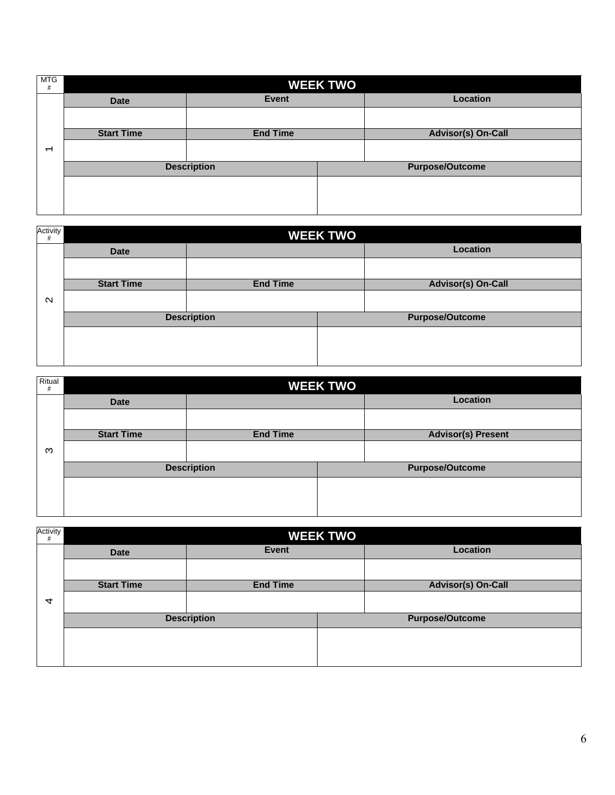| <b>MTG</b><br>#          | <b>WEEK TWO</b>   |                    |  |                           |
|--------------------------|-------------------|--------------------|--|---------------------------|
|                          | <b>Date</b>       | Event              |  | Location                  |
|                          |                   |                    |  |                           |
|                          | <b>Start Time</b> | <b>End Time</b>    |  | <b>Advisor(s) On-Call</b> |
| $\overline{\phantom{0}}$ |                   |                    |  |                           |
|                          |                   | <b>Description</b> |  | <b>Purpose/Outcome</b>    |
|                          |                   |                    |  |                           |
|                          |                   |                    |  |                           |
|                          |                   |                    |  |                           |

| Activity<br>#     | <b>WEEK TWO</b>   |                    |  |                           |
|-------------------|-------------------|--------------------|--|---------------------------|
|                   | <b>Date</b>       |                    |  | Location                  |
|                   |                   |                    |  |                           |
|                   | <b>Start Time</b> | <b>End Time</b>    |  | <b>Advisor(s) On-Call</b> |
| $\mathbf{\Omega}$ |                   |                    |  |                           |
|                   |                   | <b>Description</b> |  | <b>Purpose/Outcome</b>    |
|                   |                   |                    |  |                           |
|                   |                   |                    |  |                           |
|                   |                   |                    |  |                           |

| Ritual<br># | <b>WEEK TWO</b>   |                    |  |                           |
|-------------|-------------------|--------------------|--|---------------------------|
|             | <b>Date</b>       |                    |  | Location                  |
|             |                   |                    |  |                           |
|             | <b>Start Time</b> | <b>End Time</b>    |  | <b>Advisor(s) Present</b> |
| ო           |                   |                    |  |                           |
|             |                   | <b>Description</b> |  | <b>Purpose/Outcome</b>    |
|             |                   |                    |  |                           |
|             |                   |                    |  |                           |
|             |                   |                    |  |                           |

| Activity<br>#  | <b>WEEK TWO</b>   |                    |  |                           |
|----------------|-------------------|--------------------|--|---------------------------|
|                | <b>Date</b>       | <b>Event</b>       |  | <b>Location</b>           |
|                |                   |                    |  |                           |
|                | <b>Start Time</b> | <b>End Time</b>    |  | <b>Advisor(s) On-Call</b> |
| $\overline{4}$ |                   |                    |  |                           |
|                |                   | <b>Description</b> |  | <b>Purpose/Outcome</b>    |
|                |                   |                    |  |                           |
|                |                   |                    |  |                           |
|                |                   |                    |  |                           |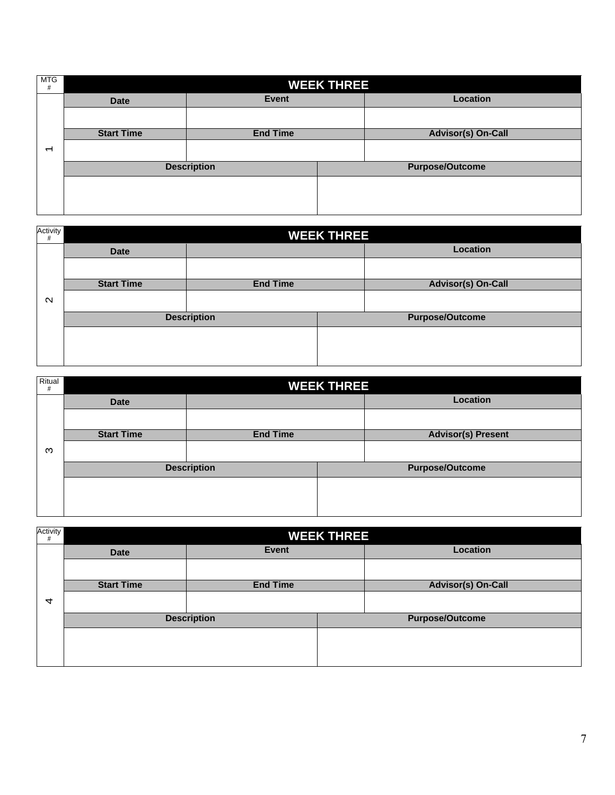| <b>MTG</b><br>#          | <b>WEEK THREE</b> |                    |  |                           |
|--------------------------|-------------------|--------------------|--|---------------------------|
|                          | <b>Date</b>       | Event              |  | Location                  |
|                          |                   |                    |  |                           |
|                          | <b>Start Time</b> | <b>End Time</b>    |  | <b>Advisor(s) On-Call</b> |
| $\overline{\phantom{0}}$ |                   |                    |  |                           |
|                          |                   | <b>Description</b> |  | <b>Purpose/Outcome</b>    |
|                          |                   |                    |  |                           |
|                          |                   |                    |  |                           |
|                          |                   |                    |  |                           |

| Activity<br>#     | <b>WEEK THREE</b> |                    |  |                           |
|-------------------|-------------------|--------------------|--|---------------------------|
|                   | <b>Date</b>       |                    |  | Location                  |
|                   |                   |                    |  |                           |
|                   | <b>Start Time</b> | <b>End Time</b>    |  | <b>Advisor(s) On-Call</b> |
| $\mathbf{\Omega}$ |                   |                    |  |                           |
|                   |                   | <b>Description</b> |  | <b>Purpose/Outcome</b>    |
|                   |                   |                    |  |                           |
|                   |                   |                    |  |                           |
|                   |                   |                    |  |                           |

| Ritual<br># | <b>WEEK THREE</b> |                    |  |                           |
|-------------|-------------------|--------------------|--|---------------------------|
|             | <b>Date</b>       |                    |  | Location                  |
|             |                   |                    |  |                           |
|             | <b>Start Time</b> | <b>End Time</b>    |  | <b>Advisor(s) Present</b> |
| ო           |                   |                    |  |                           |
|             |                   | <b>Description</b> |  | <b>Purpose/Outcome</b>    |
|             |                   |                    |  |                           |
|             |                   |                    |  |                           |
|             |                   |                    |  |                           |

| Activity<br># | <b>WEEK THREE</b> |                    |  |                           |
|---------------|-------------------|--------------------|--|---------------------------|
|               | <b>Date</b>       | <b>Event</b>       |  | <b>Location</b>           |
|               |                   |                    |  |                           |
|               | <b>Start Time</b> | <b>End Time</b>    |  | <b>Advisor(s) On-Call</b> |
| 4             |                   |                    |  |                           |
|               |                   | <b>Description</b> |  | <b>Purpose/Outcome</b>    |
|               |                   |                    |  |                           |
|               |                   |                    |  |                           |
|               |                   |                    |  |                           |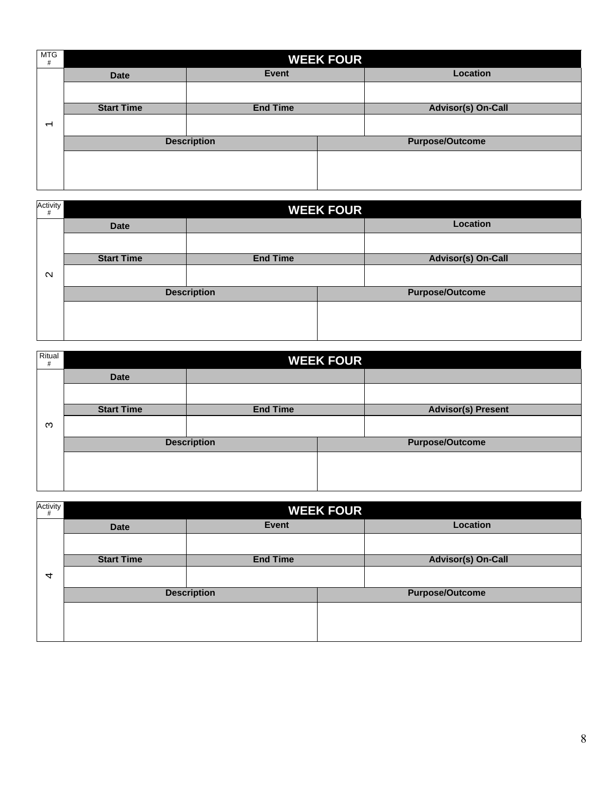| <b>MTG</b><br>$\#$ | <b>WEEK FOUR</b>  |                    |  |                           |
|--------------------|-------------------|--------------------|--|---------------------------|
|                    | <b>Date</b>       | <b>Event</b>       |  | <b>Location</b>           |
|                    |                   |                    |  |                           |
|                    | <b>Start Time</b> | <b>End Time</b>    |  | <b>Advisor(s) On-Call</b> |
| $\overline{ }$     |                   |                    |  |                           |
|                    |                   | <b>Description</b> |  | <b>Purpose/Outcome</b>    |
|                    |                   |                    |  |                           |
|                    |                   |                    |  |                           |
|                    |                   |                    |  |                           |

| Activity<br>#     | <b>WEEK FOUR</b>  |                    |  |                           |
|-------------------|-------------------|--------------------|--|---------------------------|
|                   | <b>Date</b>       |                    |  | <b>Location</b>           |
|                   |                   |                    |  |                           |
|                   | <b>Start Time</b> | <b>End Time</b>    |  | <b>Advisor(s) On-Call</b> |
| $\mathbf{\Omega}$ |                   |                    |  |                           |
|                   |                   | <b>Description</b> |  | <b>Purpose/Outcome</b>    |
|                   |                   |                    |  |                           |
|                   |                   |                    |  |                           |
|                   |                   |                    |  |                           |

| Ritual<br>$\#$ | <b>WEEK FOUR</b>  |                    |  |                           |
|----------------|-------------------|--------------------|--|---------------------------|
|                | <b>Date</b>       |                    |  |                           |
|                |                   |                    |  |                           |
|                | <b>Start Time</b> | <b>End Time</b>    |  | <b>Advisor(s) Present</b> |
| ო              |                   |                    |  |                           |
|                |                   | <b>Description</b> |  | <b>Purpose/Outcome</b>    |
|                |                   |                    |  |                           |
|                |                   |                    |  |                           |
|                |                   |                    |  |                           |

| Activity<br># | <b>WEEK FOUR</b>  |                    |  |                           |
|---------------|-------------------|--------------------|--|---------------------------|
|               | <b>Date</b>       | <b>Event</b>       |  | <b>Location</b>           |
|               |                   |                    |  |                           |
|               | <b>Start Time</b> | <b>End Time</b>    |  | <b>Advisor(s) On-Call</b> |
| 4             |                   |                    |  |                           |
|               |                   | <b>Description</b> |  | <b>Purpose/Outcome</b>    |
|               |                   |                    |  |                           |
|               |                   |                    |  |                           |
|               |                   |                    |  |                           |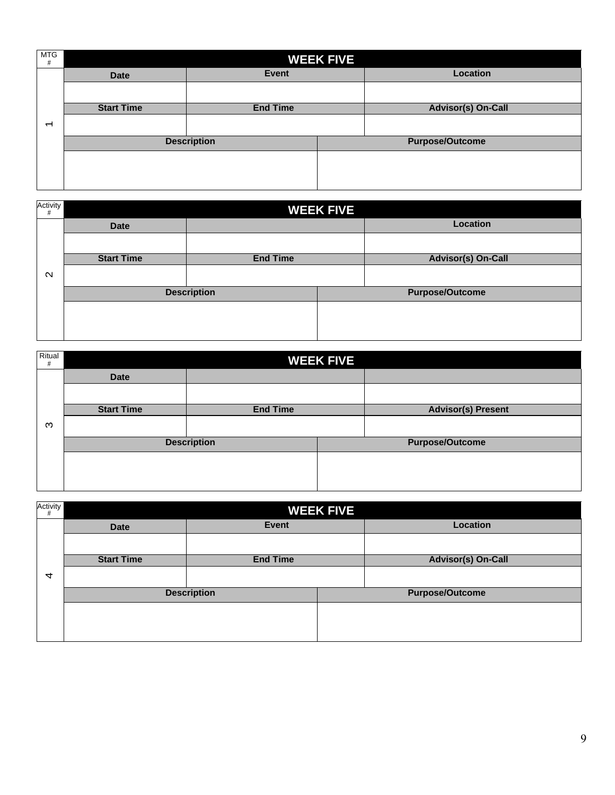| <b>MTG</b><br># | <b>WEEK FIVE</b>  |                    |  |                           |
|-----------------|-------------------|--------------------|--|---------------------------|
|                 | <b>Date</b>       | <b>Event</b>       |  | <b>Location</b>           |
|                 |                   |                    |  |                           |
|                 | <b>Start Time</b> | <b>End Time</b>    |  | <b>Advisor(s) On-Call</b> |
| $\overline{ }$  |                   |                    |  |                           |
|                 |                   | <b>Description</b> |  | <b>Purpose/Outcome</b>    |
|                 |                   |                    |  |                           |
|                 |                   |                    |  |                           |
|                 |                   |                    |  |                           |

| Activity<br>#     | <b>WEEK FIVE</b>  |                    |  |                           |
|-------------------|-------------------|--------------------|--|---------------------------|
|                   | <b>Date</b>       |                    |  | <b>Location</b>           |
|                   |                   |                    |  |                           |
|                   | <b>Start Time</b> | <b>End Time</b>    |  | <b>Advisor(s) On-Call</b> |
| $\mathbf{\Omega}$ |                   |                    |  |                           |
|                   |                   | <b>Description</b> |  | <b>Purpose/Outcome</b>    |
|                   |                   |                    |  |                           |
|                   |                   |                    |  |                           |
|                   |                   |                    |  |                           |

| Ritual<br>$\#$ | <b>WEEK FIVE</b>  |                    |  |                           |
|----------------|-------------------|--------------------|--|---------------------------|
|                | <b>Date</b>       |                    |  |                           |
|                |                   |                    |  |                           |
|                | <b>Start Time</b> | <b>End Time</b>    |  | <b>Advisor(s) Present</b> |
| ო              |                   |                    |  |                           |
|                |                   | <b>Description</b> |  | <b>Purpose/Outcome</b>    |
|                |                   |                    |  |                           |
|                |                   |                    |  |                           |
|                |                   |                    |  |                           |

| Activity<br># | <b>WEEK FIVE</b>  |                    |  |                           |
|---------------|-------------------|--------------------|--|---------------------------|
|               | <b>Date</b>       | <b>Event</b>       |  | <b>Location</b>           |
|               |                   |                    |  |                           |
|               | <b>Start Time</b> | <b>End Time</b>    |  | <b>Advisor(s) On-Call</b> |
| 4             |                   |                    |  |                           |
|               |                   | <b>Description</b> |  | <b>Purpose/Outcome</b>    |
|               |                   |                    |  |                           |
|               |                   |                    |  |                           |
|               |                   |                    |  |                           |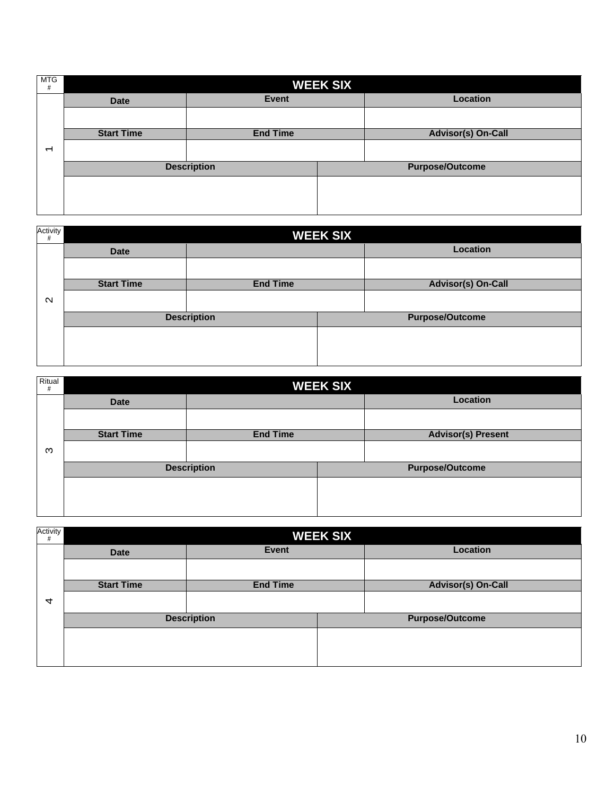| <b>MTG</b><br>#          | <b>WEEK SIX</b>   |                    |  |                           |
|--------------------------|-------------------|--------------------|--|---------------------------|
|                          | <b>Date</b>       | <b>Event</b>       |  | Location                  |
|                          |                   |                    |  |                           |
|                          | <b>Start Time</b> | <b>End Time</b>    |  | <b>Advisor(s) On-Call</b> |
| $\overline{\phantom{0}}$ |                   |                    |  |                           |
|                          |                   | <b>Description</b> |  | <b>Purpose/Outcome</b>    |
|                          |                   |                    |  |                           |
|                          |                   |                    |  |                           |
|                          |                   |                    |  |                           |

| Activity<br>#     | <b>WEEK SIX</b>   |                    |  |                           |
|-------------------|-------------------|--------------------|--|---------------------------|
|                   | <b>Date</b>       |                    |  | <b>Location</b>           |
|                   |                   |                    |  |                           |
|                   | <b>Start Time</b> | <b>End Time</b>    |  | <b>Advisor(s) On-Call</b> |
| $\mathbf{\Omega}$ |                   |                    |  |                           |
|                   |                   | <b>Description</b> |  | <b>Purpose/Outcome</b>    |
|                   |                   |                    |  |                           |
|                   |                   |                    |  |                           |
|                   |                   |                    |  |                           |

| Ritual<br># | <b>WEEK SIX</b>   |                    |  |                           |
|-------------|-------------------|--------------------|--|---------------------------|
|             | <b>Date</b>       |                    |  | <b>Location</b>           |
|             |                   |                    |  |                           |
|             | <b>Start Time</b> | <b>End Time</b>    |  | <b>Advisor(s) Present</b> |
| ო           |                   |                    |  |                           |
|             |                   | <b>Description</b> |  | <b>Purpose/Outcome</b>    |
|             |                   |                    |  |                           |
|             |                   |                    |  |                           |

| Activity<br># | <b>WEEK SIX</b>   |                    |  |                           |
|---------------|-------------------|--------------------|--|---------------------------|
|               | <b>Date</b>       | <b>Event</b>       |  | <b>Location</b>           |
|               |                   |                    |  |                           |
|               | <b>Start Time</b> | <b>End Time</b>    |  | <b>Advisor(s) On-Call</b> |
| 4             |                   |                    |  |                           |
|               |                   | <b>Description</b> |  | <b>Purpose/Outcome</b>    |
|               |                   |                    |  |                           |
|               |                   |                    |  |                           |
|               |                   |                    |  |                           |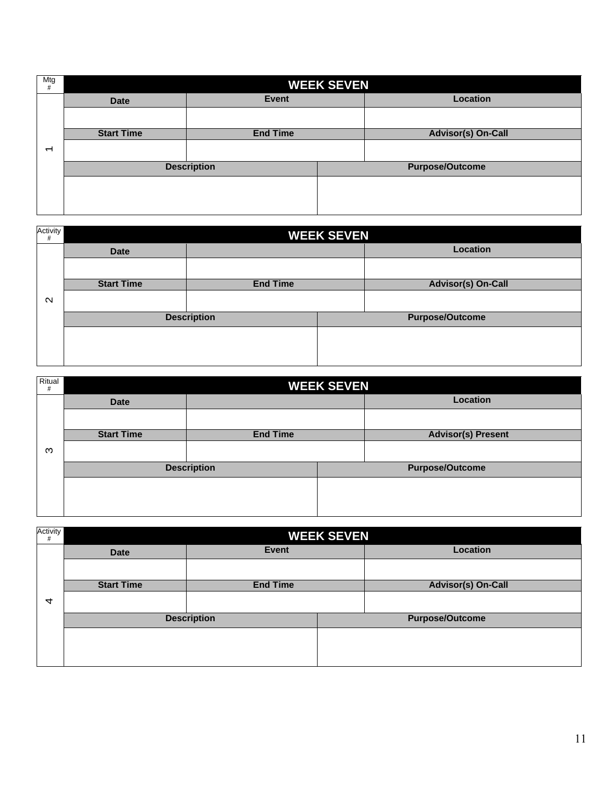| Mtg<br>#       | <b>WEEK SEVEN</b> |                    |  |                           |
|----------------|-------------------|--------------------|--|---------------------------|
|                | <b>Date</b>       | <b>Event</b>       |  | <b>Location</b>           |
|                |                   |                    |  |                           |
|                | <b>Start Time</b> | <b>End Time</b>    |  | <b>Advisor(s) On-Call</b> |
| $\overline{ }$ |                   |                    |  |                           |
|                |                   | <b>Description</b> |  | <b>Purpose/Outcome</b>    |
|                |                   |                    |  |                           |
|                |                   |                    |  |                           |
|                |                   |                    |  |                           |

| Activity<br>#     | <b>WEEK SEVEN</b> |                    |  |                           |
|-------------------|-------------------|--------------------|--|---------------------------|
|                   | <b>Date</b>       |                    |  | Location                  |
|                   |                   |                    |  |                           |
|                   | <b>Start Time</b> | <b>End Time</b>    |  | <b>Advisor(s) On-Call</b> |
| $\mathbf{\Omega}$ |                   |                    |  |                           |
|                   |                   | <b>Description</b> |  | <b>Purpose/Outcome</b>    |
|                   |                   |                    |  |                           |
|                   |                   |                    |  |                           |
|                   |                   |                    |  |                           |

| Ritual<br># | <b>WEEK SEVEN</b> |                    |  |                           |
|-------------|-------------------|--------------------|--|---------------------------|
|             | <b>Date</b>       |                    |  | <b>Location</b>           |
|             |                   |                    |  |                           |
|             | <b>Start Time</b> | <b>End Time</b>    |  | <b>Advisor(s) Present</b> |
| ო           |                   |                    |  |                           |
|             |                   | <b>Description</b> |  | <b>Purpose/Outcome</b>    |
|             |                   |                    |  |                           |
|             |                   |                    |  |                           |
|             |                   |                    |  |                           |

| Activity<br>#  | <b>WEEK SEVEN</b> |                    |  |                           |
|----------------|-------------------|--------------------|--|---------------------------|
|                | <b>Date</b>       | <b>Event</b>       |  | <b>Location</b>           |
|                |                   |                    |  |                           |
|                | <b>Start Time</b> | <b>End Time</b>    |  | <b>Advisor(s) On-Call</b> |
| $\overline{4}$ |                   |                    |  |                           |
|                |                   | <b>Description</b> |  | <b>Purpose/Outcome</b>    |
|                |                   |                    |  |                           |
|                |                   |                    |  |                           |
|                |                   |                    |  |                           |